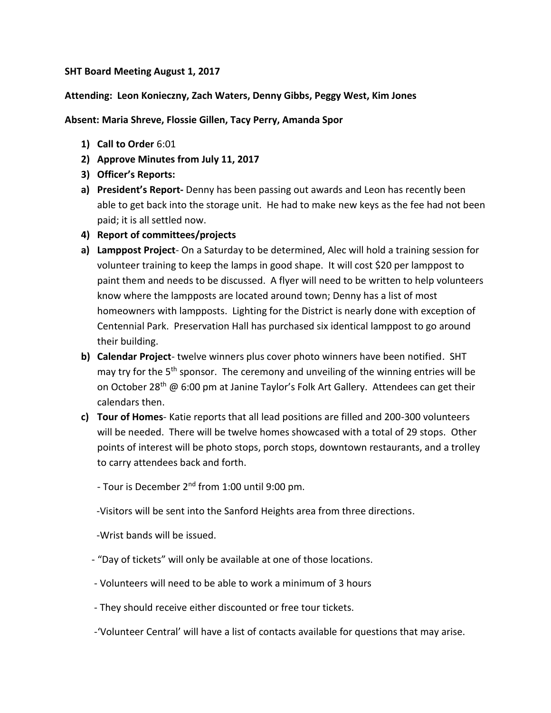## **SHT Board Meeting August 1, 2017**

## **Attending: Leon Konieczny, Zach Waters, Denny Gibbs, Peggy West, Kim Jones**

## **Absent: Maria Shreve, Flossie Gillen, Tacy Perry, Amanda Spor**

- **1) Call to Order** 6:01
- **2) Approve Minutes from July 11, 2017**
- **3) Officer's Reports:**
- **a) President's Report-** Denny has been passing out awards and Leon has recently been able to get back into the storage unit. He had to make new keys as the fee had not been paid; it is all settled now.
- **4) Report of committees/projects**
- **a) Lamppost Project** On a Saturday to be determined, Alec will hold a training session for volunteer training to keep the lamps in good shape. It will cost \$20 per lamppost to paint them and needs to be discussed. A flyer will need to be written to help volunteers know where the lampposts are located around town; Denny has a list of most homeowners with lampposts. Lighting for the District is nearly done with exception of Centennial Park. Preservation Hall has purchased six identical lamppost to go around their building.
- **b) Calendar Project** twelve winners plus cover photo winners have been notified. SHT may try for the 5<sup>th</sup> sponsor. The ceremony and unveiling of the winning entries will be on October 28<sup>th</sup> @ 6:00 pm at Janine Taylor's Folk Art Gallery. Attendees can get their calendars then.
- **c) Tour of Homes** Katie reports that all lead positions are filled and 200-300 volunteers will be needed. There will be twelve homes showcased with a total of 29 stops. Other points of interest will be photo stops, porch stops, downtown restaurants, and a trolley to carry attendees back and forth.
	- Tour is December 2nd from 1:00 until 9:00 pm.

-Visitors will be sent into the Sanford Heights area from three directions.

- -Wrist bands will be issued.
- "Day of tickets" will only be available at one of those locations.
- Volunteers will need to be able to work a minimum of 3 hours
- They should receive either discounted or free tour tickets.
- -'Volunteer Central' will have a list of contacts available for questions that may arise.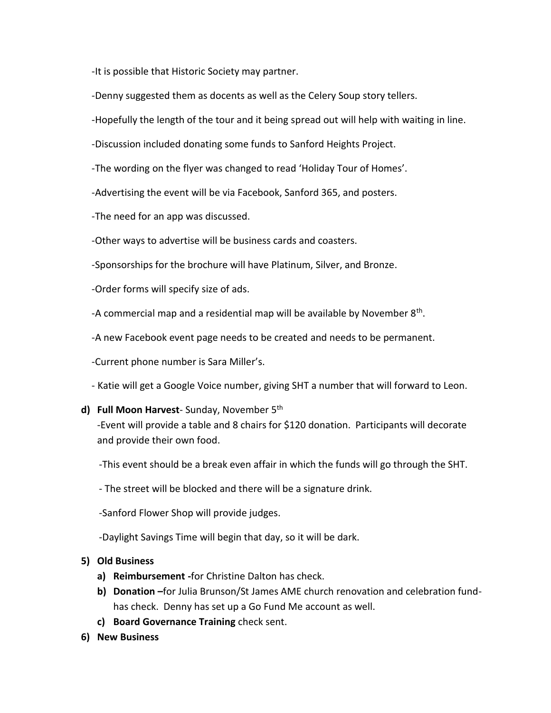-It is possible that Historic Society may partner.

- -Denny suggested them as docents as well as the Celery Soup story tellers.
- -Hopefully the length of the tour and it being spread out will help with waiting in line.
- -Discussion included donating some funds to Sanford Heights Project.
- -The wording on the flyer was changed to read 'Holiday Tour of Homes'.
- -Advertising the event will be via Facebook, Sanford 365, and posters.
- -The need for an app was discussed.
- -Other ways to advertise will be business cards and coasters.
- -Sponsorships for the brochure will have Platinum, Silver, and Bronze.
- -Order forms will specify size of ads.
- -A commercial map and a residential map will be available by November  $8<sup>th</sup>$ .
	- -A new Facebook event page needs to be created and needs to be permanent.
	- -Current phone number is Sara Miller's.
	- Katie will get a Google Voice number, giving SHT a number that will forward to Leon.
	- **d) Full Moon Harvest** Sunday, November 5th

-Event will provide a table and 8 chairs for \$120 donation. Participants will decorate and provide their own food.

- -This event should be a break even affair in which the funds will go through the SHT.
- The street will be blocked and there will be a signature drink.
- -Sanford Flower Shop will provide judges.
- -Daylight Savings Time will begin that day, so it will be dark.

## **5) Old Business**

- **a) Reimbursement -**for Christine Dalton has check.
- **b) Donation –**for Julia Brunson/St James AME church renovation and celebration fundhas check. Denny has set up a Go Fund Me account as well.
- **c) Board Governance Training** check sent.
- **6) New Business**